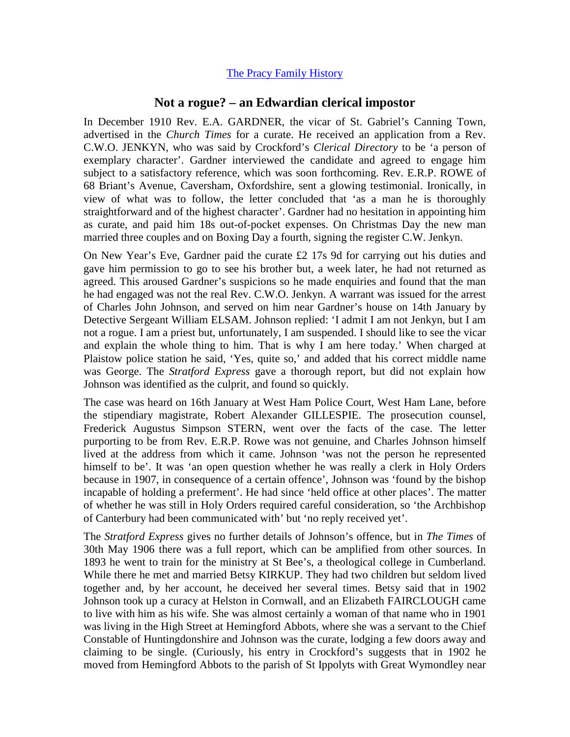## [The Pracy Family History](http://www.hagger.org/documents/PracyHistory.pdf)

## **Not a rogue? – an Edwardian clerical impostor**

In December 1910 Rev. E.A. GARDNER, the vicar of St. Gabriel's Canning Town, advertised in the *Church Times* for a curate. He received an application from a Rev. C.W.O. JENKYN, who was said by Crockford's *Clerical Directory* to be 'a person of exemplary character'. Gardner interviewed the candidate and agreed to engage him subject to a satisfactory reference, which was soon forthcoming. Rev. E.R.P. ROWE of 68 Briant's Avenue, Caversham, Oxfordshire, sent a glowing testimonial. Ironically, in view of what was to follow, the letter concluded that 'as a man he is thoroughly straightforward and of the highest character'. Gardner had no hesitation in appointing him as curate, and paid him 18s out-of-pocket expenses. On Christmas Day the new man married three couples and on Boxing Day a fourth, signing the register C.W. Jenkyn.

On New Year's Eve, Gardner paid the curate £2 17s 9d for carrying out his duties and gave him permission to go to see his brother but, a week later, he had not returned as agreed. This aroused Gardner's suspicions so he made enquiries and found that the man he had engaged was not the real Rev. C.W.O. Jenkyn. A warrant was issued for the arrest of Charles John Johnson, and served on him near Gardner's house on 14th January by Detective Sergeant William ELSAM. Johnson replied: 'I admit I am not Jenkyn, but I am not a rogue. I am a priest but, unfortunately, I am suspended. I should like to see the vicar and explain the whole thing to him. That is why I am here today.' When charged at Plaistow police station he said, 'Yes, quite so,' and added that his correct middle name was George. The *Stratford Express* gave a thorough report, but did not explain how Johnson was identified as the culprit, and found so quickly.

The case was heard on 16th January at West Ham Police Court, West Ham Lane, before the stipendiary magistrate, Robert Alexander GILLESPIE. The prosecution counsel, Frederick Augustus Simpson STERN, went over the facts of the case. The letter purporting to be from Rev. E.R.P. Rowe was not genuine, and Charles Johnson himself lived at the address from which it came. Johnson 'was not the person he represented himself to be'. It was 'an open question whether he was really a clerk in Holy Orders because in 1907, in consequence of a certain offence', Johnson was 'found by the bishop incapable of holding a preferment'. He had since 'held office at other places'. The matter of whether he was still in Holy Orders required careful consideration, so 'the Archbishop of Canterbury had been communicated with' but 'no reply received yet'.

The *Stratford Express* gives no further details of Johnson's offence, but in *The Times* of 30th May 1906 there was a full report, which can be amplified from other sources. In 1893 he went to train for the ministry at St Bee's, a theological college in Cumberland. While there he met and married Betsy KIRKUP. They had two children but seldom lived together and, by her account, he deceived her several times. Betsy said that in 1902 Johnson took up a curacy at Helston in Cornwall, and an Elizabeth FAIRCLOUGH came to live with him as his wife. She was almost certainly a woman of that name who in 1901 was living in the High Street at Hemingford Abbots, where she was a servant to the Chief Constable of Huntingdonshire and Johnson was the curate, lodging a few doors away and claiming to be single. (Curiously, his entry in Crockford's suggests that in 1902 he moved from Hemingford Abbots to the parish of St Ippolyts with Great Wymondley near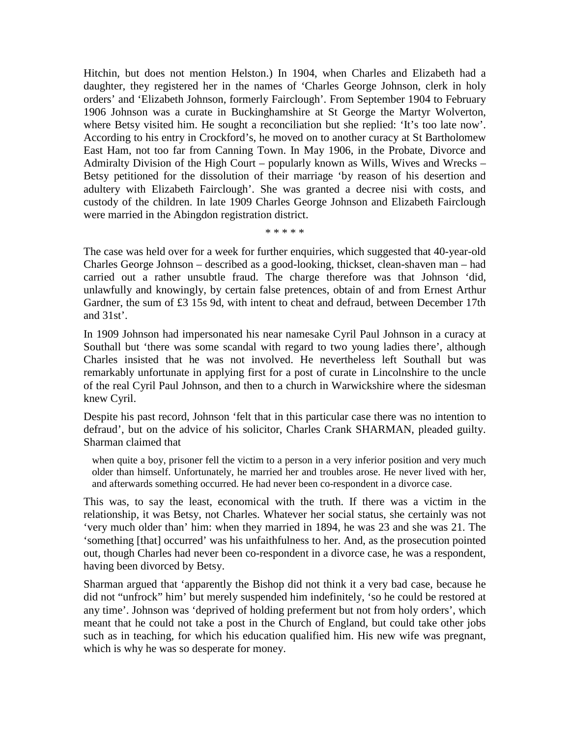Hitchin, but does not mention Helston.) In 1904, when Charles and Elizabeth had a daughter, they registered her in the names of 'Charles George Johnson, clerk in holy orders' and 'Elizabeth Johnson, formerly Fairclough'. From September 1904 to February 1906 Johnson was a curate in Buckinghamshire at St George the Martyr Wolverton, where Betsy visited him. He sought a reconciliation but she replied: 'It's too late now'. According to his entry in Crockford's, he moved on to another curacy at St Bartholomew East Ham, not too far from Canning Town. In May 1906, in the Probate, Divorce and Admiralty Division of the High Court – popularly known as Wills, Wives and Wrecks – Betsy petitioned for the dissolution of their marriage 'by reason of his desertion and adultery with Elizabeth Fairclough'. She was granted a decree nisi with costs, and custody of the children. In late 1909 Charles George Johnson and Elizabeth Fairclough were married in the Abingdon registration district.

\* \* \* \* \*

The case was held over for a week for further enquiries, which suggested that 40-year-old Charles George Johnson – described as a good-looking, thickset, clean-shaven man – had carried out a rather unsubtle fraud. The charge therefore was that Johnson 'did, unlawfully and knowingly, by certain false pretences, obtain of and from Ernest Arthur Gardner, the sum of £3 15s 9d, with intent to cheat and defraud, between December 17th and 31st'.

In 1909 Johnson had impersonated his near namesake Cyril Paul Johnson in a curacy at Southall but 'there was some scandal with regard to two young ladies there', although Charles insisted that he was not involved. He nevertheless left Southall but was remarkably unfortunate in applying first for a post of curate in Lincolnshire to the uncle of the real Cyril Paul Johnson, and then to a church in Warwickshire where the sidesman knew Cyril.

Despite his past record, Johnson 'felt that in this particular case there was no intention to defraud', but on the advice of his solicitor, Charles Crank SHARMAN, pleaded guilty. Sharman claimed that

when quite a boy, prisoner fell the victim to a person in a very inferior position and very much older than himself. Unfortunately, he married her and troubles arose. He never lived with her, and afterwards something occurred. He had never been co-respondent in a divorce case.

This was, to say the least, economical with the truth. If there was a victim in the relationship, it was Betsy, not Charles. Whatever her social status, she certainly was not 'very much older than' him: when they married in 1894, he was 23 and she was 21. The 'something [that] occurred' was his unfaithfulness to her. And, as the prosecution pointed out, though Charles had never been co-respondent in a divorce case, he was a respondent, having been divorced by Betsy.

Sharman argued that 'apparently the Bishop did not think it a very bad case, because he did not "unfrock" him' but merely suspended him indefinitely, 'so he could be restored at any time'. Johnson was 'deprived of holding preferment but not from holy orders', which meant that he could not take a post in the Church of England, but could take other jobs such as in teaching, for which his education qualified him. His new wife was pregnant, which is why he was so desperate for money.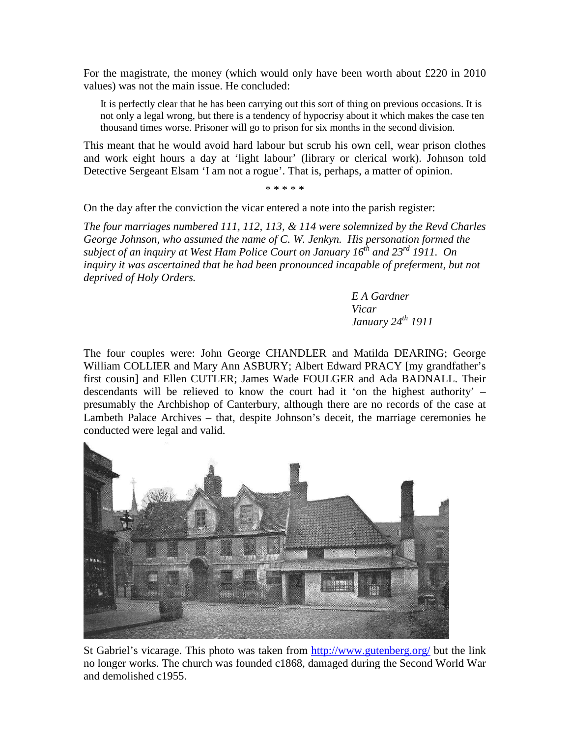For the magistrate, the money (which would only have been worth about £220 in 2010 values) was not the main issue. He concluded:

It is perfectly clear that he has been carrying out this sort of thing on previous occasions. It is not only a legal wrong, but there is a tendency of hypocrisy about it which makes the case ten thousand times worse. Prisoner will go to prison for six months in the second division.

This meant that he would avoid hard labour but scrub his own cell, wear prison clothes and work eight hours a day at 'light labour' (library or clerical work). Johnson told Detective Sergeant Elsam 'I am not a rogue'. That is, perhaps, a matter of opinion.

\* \* \* \* \*

On the day after the conviction the vicar entered a note into the parish register:

*The four marriages numbered 111, 112, 113, & 114 were solemnized by the Revd Charles George Johnson, who assumed the name of C. W. Jenkyn. His personation formed the subject of an inquiry at West Ham Police Court on January 16th and 23rd 1911. On inquiry it was ascertained that he had been pronounced incapable of preferment, but not deprived of Holy Orders.*

> *E A Gardner Vicar January 24th 1911*

The four couples were: John George CHANDLER and Matilda DEARING; George William COLLIER and Mary Ann ASBURY; Albert Edward PRACY [my grandfather's first cousin] and Ellen CUTLER; James Wade FOULGER and Ada BADNALL. Their descendants will be relieved to know the court had it 'on the highest authority' – presumably the Archbishop of Canterbury, although there are no records of the case at Lambeth Palace Archives – that, despite Johnson's deceit, the marriage ceremonies he conducted were legal and valid.



St Gabriel's vicarage. This photo was taken from <http://www.gutenberg.org/> but the link no longer works. The church was founded c1868, damaged during the Second World War and demolished c1955.